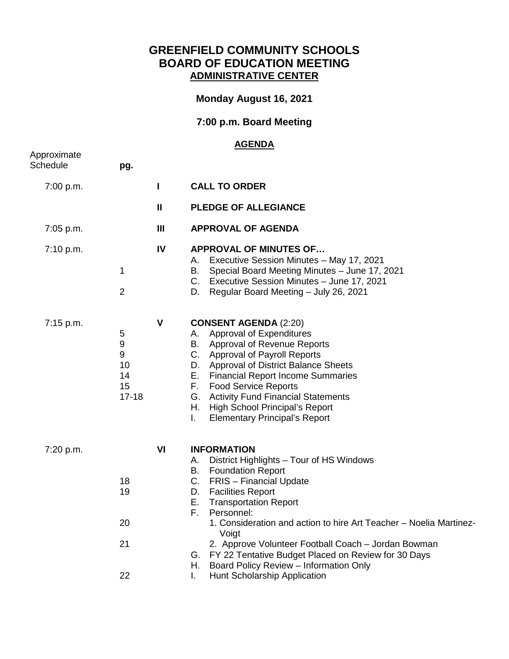## **GREENFIELD COMMUNITY SCHOOLS BOARD OF EDUCATION MEETING ADMINISTRATIVE CENTER**

## **Monday August 16, 2021**

## **7:00 p.m. Board Meeting**

## **AGENDA**

| Approximate<br>Schedule | pg.                                        |                |                                                                                                                                                                                                                                                                                                                                                                                                                                                                                                                           |
|-------------------------|--------------------------------------------|----------------|---------------------------------------------------------------------------------------------------------------------------------------------------------------------------------------------------------------------------------------------------------------------------------------------------------------------------------------------------------------------------------------------------------------------------------------------------------------------------------------------------------------------------|
| 7:00 p.m.               |                                            | L              | <b>CALL TO ORDER</b>                                                                                                                                                                                                                                                                                                                                                                                                                                                                                                      |
|                         |                                            | $\mathbf{H}$   | PLEDGE OF ALLEGIANCE                                                                                                                                                                                                                                                                                                                                                                                                                                                                                                      |
| 7:05 p.m.               |                                            | $\mathbf{III}$ | <b>APPROVAL OF AGENDA</b>                                                                                                                                                                                                                                                                                                                                                                                                                                                                                                 |
| 7:10 p.m.               | 1<br>$\overline{2}$                        | IV             | <b>APPROVAL OF MINUTES OF</b><br>Executive Session Minutes - May 17, 2021<br>А.<br>Special Board Meeting Minutes - June 17, 2021<br>В.<br>C. Executive Session Minutes - June 17, 2021<br>D.<br>Regular Board Meeting - July 26, 2021                                                                                                                                                                                                                                                                                     |
| 7:15 p.m.               | 5<br>9<br>9<br>10<br>14<br>15<br>$17 - 18$ | $\mathsf{V}$   | <b>CONSENT AGENDA (2:20)</b><br>Approval of Expenditures<br>А.<br>В.<br><b>Approval of Revenue Reports</b><br>C. Approval of Payroll Reports<br><b>Approval of District Balance Sheets</b><br>D.<br>Е.<br><b>Financial Report Income Summaries</b><br>F.<br><b>Food Service Reports</b><br>G.<br><b>Activity Fund Financial Statements</b><br>Η.<br><b>High School Principal's Report</b><br>L.<br><b>Elementary Principal's Report</b>                                                                                   |
| 7:20 p.m.               | 18<br>19<br>20<br>21<br>22                 | VI             | <b>INFORMATION</b><br>District Highlights - Tour of HS Windows<br>А.<br><b>Foundation Report</b><br>В.<br>C.<br>FRIS - Financial Update<br>D.<br><b>Facilities Report</b><br>Е.<br><b>Transportation Report</b><br>F.<br>Personnel:<br>1. Consideration and action to hire Art Teacher - Noelia Martinez-<br>Voigt<br>2. Approve Volunteer Football Coach - Jordan Bowman<br>G. FY 22 Tentative Budget Placed on Review for 30 Days<br>Board Policy Review - Information Only<br>Н.<br>I.<br>Hunt Scholarship Application |